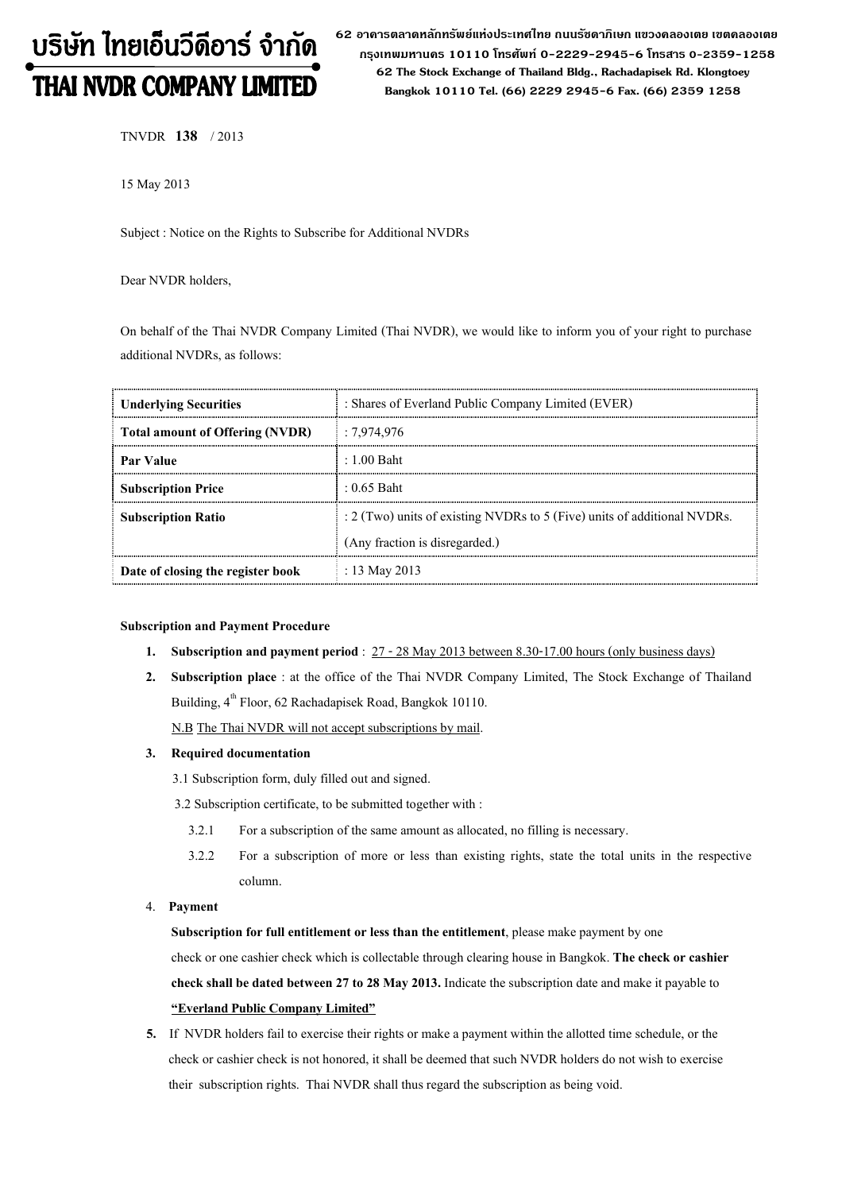# บริษัท ไทยเอ็นวีดีอาร์ จำกัด **THAI NVDR COMPANY LIMITED**

62 อาดารตลาดหลักทรัพย์แห่งประเทศไทย ถนนรัซดาภิเษก แขวงดลองเตย เขตดลองเตย กรุงเทพมหานคร 10110 โทรศัพท์ 0-2229-2945-6 โทรสาร 0-2359-1258 62 The Stock Exchange of Thailand Bldg., Rachadapisek Rd. Klongtoey Bangkok 10110 Tel. (66) 2229 2945-6 Fax. (66) 2359 1258

TNVDR 138 / 2013

15 May 2013

Subject : Notice on the Rights to Subscribe for Additional NVDRs

Dear NVDR holders,

On behalf of the Thai NVDR Company Limited (Thai NVDR), we would like to inform you of your right to purchase additional NVDRs, as follows:

| <b>Underlying Securities</b>           | : Shares of Everland Public Company Limited (EVER)                            |  |  |
|----------------------------------------|-------------------------------------------------------------------------------|--|--|
| <b>Total amount of Offering (NVDR)</b> | :7.974.976                                                                    |  |  |
| Par Value                              | $\pm 1.00$ Baht                                                               |  |  |
| <b>Subscription Price</b>              | $: 0.65$ Baht                                                                 |  |  |
| <b>Subscription Ratio</b>              | $\div$ 2 (Two) units of existing NVDRs to 5 (Five) units of additional NVDRs. |  |  |
|                                        | (Any fraction is disregarded.)                                                |  |  |
| Date of closing the register book      | : 13 May 2013                                                                 |  |  |

### Subscription and Payment Procedure

- 1. Subscription and payment period :  $27 28$  May 2013 between 8.30-17.00 hours (only business days)
- 2. Subscription place : at the office of the Thai NVDR Company Limited, The Stock Exchange of Thailand Building, 4<sup>th</sup> Floor, 62 Rachadapisek Road, Bangkok 10110.

N.B The Thai NVDR will not accept subscriptions by mail.

### 3. Required documentation

3.1 Subscription form, duly filled out and signed.

3.2 Subscription certificate, to be submitted together with :

- 3.2.1 For a subscription of the same amount as allocated, no filling is necessary.
- 3.2.2 For a subscription of more or less than existing rights, state the total units in the respective column.
- 4. Payment

Subscription for full entitlement or less than the entitlement, please make payment by one check or one cashier check which is collectable through clearing house in Bangkok. The check or cashier check shall be dated between 27 to 28 May 2013. Indicate the subscription date and make it payable to "Everland Public Company Limited"

 5. If NVDR holders fail to exercise their rights or make a payment within the allotted time schedule, or the check or cashier check is not honored, it shall be deemed that such NVDR holders do not wish to exercise their subscription rights. Thai NVDR shall thus regard the subscription as being void.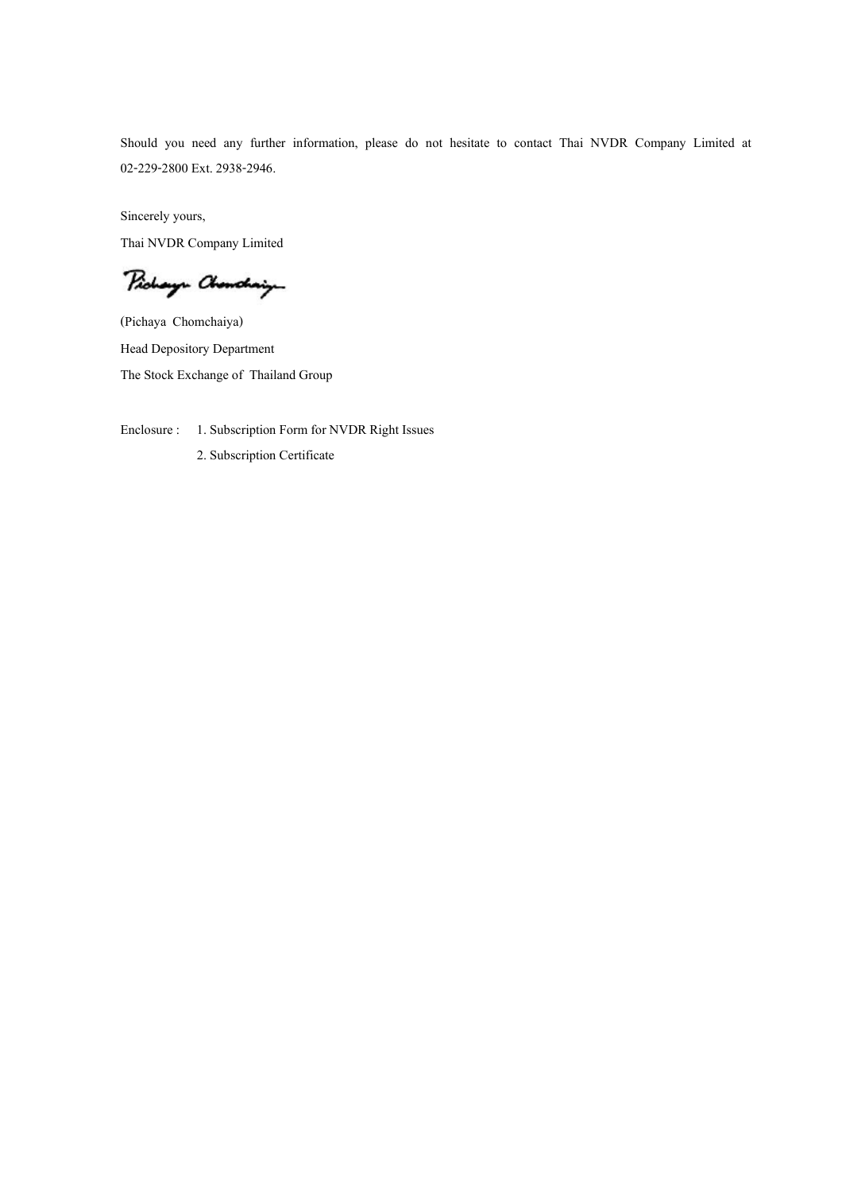Should you need any further information, please do not hesitate to contact Thai NVDR Company Limited at 02-229-2800 Ext. 2938-2946.

Sincerely yours, Thai NVDR Company Limited

Pichay- Chemolary

(Pichaya Chomchaiya) Head Depository Department The Stock Exchange of Thailand Group

Enclosure : 1. Subscription Form for NVDR Right Issues

2. Subscription Certificate